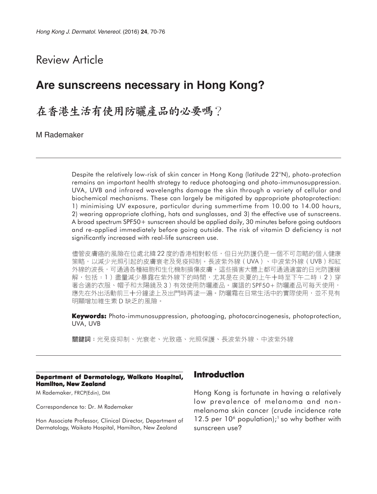# Review Article

# **Are sunscreens necessary in Hong Kong?**

# 在香港生活有使用防曬產品的必要嗎?

M Rademaker

Despite the relatively low-risk of skin cancer in Hong Kong (latitude 22°N), photo-protection remains an important health strategy to reduce photoaging and photo-immunosuppression. UVA, UVB and infrared wavelengths damage the skin through a variety of cellular and biochemical mechanisms. These can largely be mitigated by appropriate photoprotection: 1) minimising UV exposure, particular during summertime from 10.00 to 14.00 hours, 2) wearing appropriate clothing, hats and sunglasses, and 3) the effective use of sunscreens. A broad spectrum SPF50+ sunscreen should be applied daily, 30 minutes before going outdoors and re-applied immediately before going outside. The risk of vitamin D deficiency is not significantly increased with real-life sunscreen use.

儘管皮膚癌的風險在位處北緯22度的香港相對較低,但日光防護仍是一個不可忽略的個人健康 策略,以減少光照引起的皮膚衰老及免疫抑制。長波紫外線(UVA)、中波紫外線(UVB)和紅 外線的波長,可通過各種細胞和生化機制損傷皮膚。這些損害大體上都可通過適當的日光防護緩 解,包括:1)盡量減少暴露在紫外線下的時間,尤其是在炎夏的上午十時至下午二時;2)穿 著合適的衣服、帽子和太陽鏡及3)有效使用防曬產品。廣譜的SPF50+防曬產品可每天使用, 應先在外出活動前三十分鐘塗上及出門時再塗一遍。防曬霜在日常生活中的實際使用,並不見有 明顯增加維生素 D 缺乏的風險。

**Keywords:** Photo-immunosuppression, photoaging, photocarcinogenesis, photoprotection, UVA, UVB

關鍵詞:光免疫抑制、光衰老、光致癌、光照保護、長波紫外線、中波紫外線

#### **Department of Dermatology, Waikato Hospital, Hamilton, New Zealand**

M Rademaker, FRCP(Edin), DM

Correspondence to: Dr. M Rademaker

Hon Associate Professor, Clinical Director, Department of Dermatology, Waikato Hospital, Hamilton, New Zealand

### **Introduction**

Hong Kong is fortunate in having a relatively low prevalence of melanoma and nonmelanoma skin cancer (crude incidence rate 12.5 per  $10<sup>6</sup>$  population);<sup>1</sup> so why bother with sunscreen use?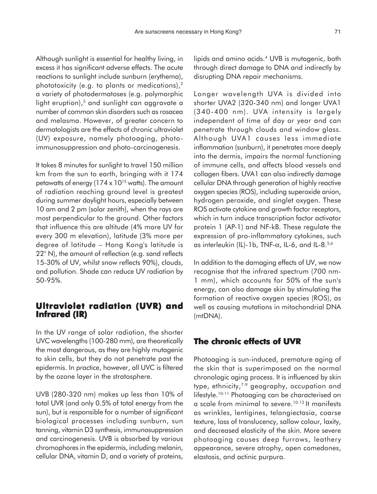Although sunlight is essential for healthy living, in excess it has significant adverse effects. The acute reactions to sunlight include sunburn (erythema), phototoxicity (e.g. to plants or medications),2 a variety of photodermatoses (e.g. polymorphic light eruption),<sup>3</sup> and sunlight can aggravate a number of common skin disorders such as rosacea and melasma. However, of greater concern to dermatologists are the effects of chronic ultraviolet (UV) exposure, namely photoaging, photoimmunosuppression and photo-carcinogenesis.

It takes 8 minutes for sunlight to travel 150 million km from the sun to earth, bringing with it 174 petawatts of energy ( $174 \times 10^{15}$  watts). The amount of radiation reaching ground level is greatest during summer daylight hours, especially between 10 am and 2 pm (solar zenith), when the rays are most perpendicular to the ground. Other factors that influence this are altitude (4% more UV for every 300 m elevation), latitude (3% more per degree of latitude – Hong Kong's latitude is 22° N), the amount of reflection (e.g. sand reflects 15-30% of UV, whilst snow reflects 90%), clouds, and pollution. Shade can reduce UV radiation by 50-95%.

### **Ultraviolet radiation (UVR) and Infrared (IR) Infrared (IR)**

In the UV range of solar radiation, the shorter UVC wavelengths (100-280 mm), are theoretically the most dangerous, as they are highly mutagenic to skin cells, but they do not penetrate past the epidermis. In practice, however, all UVC is filtered by the ozone layer in the stratosphere.

UVB (280-320 nm) makes up less than 10% of total UVR (and only 0.5% of total energy from the sun), but is responsible for a number of significant biological processes including sunburn, sun tanning, vitamin D3 synthesis, immunosuppression and carcinogenesis. UVB is absorbed by various chromophores in the epidermis, including melanin, cellular DNA, vitamin D, and a variety of proteins,

lipids and amino acids.4 UVB is mutagenic, both through direct damage to DNA and indirectly by disrupting DNA repair mechanisms.

Longer wavelength UVA is divided into shorter UVA2 (320-340 nm) and longer UVA1 (340-400 nm). UVA intensity is largely independent of time of day or year and can penetrate through clouds and window glass. Although UVA1 causes less immediate inflammation (sunburn), it penetrates more deeply into the dermis, impairs the normal functioning of immune cells, and affects blood vessels and collagen fibers. UVA1 can also indirectly damage cellular DNA through generation of highly reactive oxygen species (ROS), including superoxide anion, hydrogen peroxide, and singlet oxygen. These ROS activate cytokine and growth factor receptors, which in turn induce transcription factor activator protein 1 (AP-1) and NF-kB. These regulate the expression of pro-inflammatory cytokines, such as interleukin (IL)-1b, TNF-α, IL-6, and IL-8.5,6

In addition to the damaging effects of UV, we now recognise that the infrared spectrum (700 nm-1 mm), which accounts for 50% of the sun's energy, can also damage skin by stimulating the formation of reactive oxygen species (ROS), as well as causing mutations in mitochondrial DNA (mtDNA).

### **The chronic effects of UVR**

Photoaging is sun-induced, premature aging of the skin that is superimposed on the normal chronologic aging process. It is influenced by skin type, ethnicity,7-9 geography, occupation and lifestyle.10-11 Photoaging can be characterised on a scale from minimal to severe.10-12 It manifests as wrinkles, lentigines, telangiectasia, coarse texture, loss of translucency, sallow colour, laxity, and decreased elasticity of the skin. More severe photoaging causes deep furrows, leathery appearance, severe atrophy, open comedones, elastosis, and actinic purpura.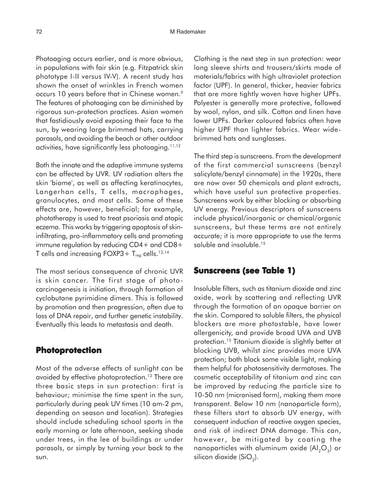Photoaging occurs earlier, and is more obvious, in populations with fair skin (e.g. Fitzpatrick skin phototype I-II versus IV-V). A recent study has shown the onset of wrinkles in French women occurs 10 years before that in Chinese women.<sup>9</sup> The features of photoaging can be diminished by rigorous sun-protection practices. Asian women that fastidiously avoid exposing their face to the sun, by wearing large brimmed hats, carrying parasols, and avoiding the beach or other outdoor activities, have significantly less photoaging.<sup>11,12</sup>

Both the innate and the adaptive immune systems can be affected by UVR. UV radiation alters the skin 'biome', as well as affecting keratinocytes, Langerhan cells, T cells, macrophages, granulocytes, and mast cells. Some of these effects are, however, beneficial; for example, phototherapy is used to treat psoriasis and atopic eczema. This works by triggering apoptosis of skininfiltrating, pro-inflammatory cells and promoting immune regulation by reducing CD4+ and CD8+ T cells and increasing  $FOXP3+T_{reg}$  cells.<sup>13,14</sup>

The most serious consequence of chronic UVR is skin cancer. The first stage of photocarcinogenesis is initiation, through formation of cyclobutane pyrimidine dimers. This is followed by promotion and then progression, often due to loss of DNA repair, and further genetic instability. Eventually this leads to metastasis and death.

## **Photoprotection**

Most of the adverse effects of sunlight can be avoided by effective photoprotection.<sup>12</sup> There are three basic steps in sun protection: first is behaviour; minimise the time spent in the sun, particularly during peak UV times (10 am-2 pm, depending on season and location). Strategies should include scheduling school sports in the early morning or late afternoon, seeking shade under trees, in the lee of buildings or under parasols, or simply by turning your back to the sun.

Clothing is the next step in sun protection: wear long sleeve shirts and trousers/skirts made of materials/fabrics with high ultraviolet protection factor (UPF). In general, thicker, heavier fabrics that are more tightly woven have higher UPFs. Polyester is generally more protective, followed by wool, nylon, and silk. Cotton and linen have lower UPFs. Darker coloured fabrics often have higher UPF than lighter fabrics. Wear widebrimmed hats and sunglasses.

The third step is sunscreens. From the development of the first commercial sunscreens (benzyl salicylate/benzyl cinnamate) in the 1920s, there are now over 50 chemicals and plant extracts, which have useful sun protective properties. Sunscreens work by either blocking or absorbing UV energy. Previous descriptors of sunscreens include physical/inorganic or chemical/organic sunscreens, but these terms are not entirely accurate; it is more appropriate to use the terms soluble and insoluble.<sup>15</sup>

## **Sunscreens (see Table 1) able 1)**

Insoluble filters, such as titanium dioxide and zinc oxide, work by scattering and reflecting UVR through the formation of an opaque barrier on the skin. Compared to soluble filters, the physical blockers are more photostable, have lower allergenicity, and provide broad UVA and UVB protection.15 Titanium dioxide is slightly better at blocking UVB, whilst zinc provides more UVA protection; both block some visible light, making them helpful for photosensitivity dermatoses. The cosmetic acceptability of titanium and zinc can be improved by reducing the particle size to 10-50 nm (micronised form), making them more transparent. Below 10 nm (nanoparticle form), these filters start to absorb UV energy, with consequent induction of reactive oxygen species, and risk of indirect DNA damage. This can, however, be mitigated by coating the nanoparticles with aluminum oxide  $(Al_2O_3)$  or silicon dioxide  $(SiO<sub>2</sub>)$ .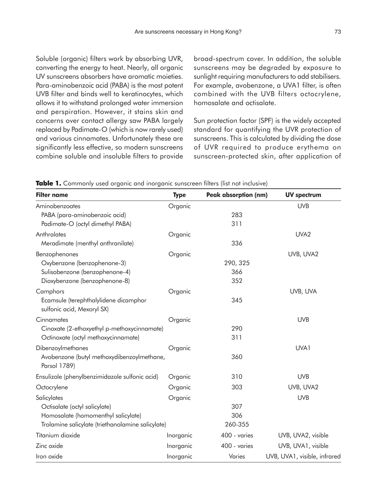Soluble (organic) filters work by absorbing UVR, converting the energy to heat. Nearly, all organic UV sunscreens absorbers have aromatic moieties. Para-aminobenzoic acid (PABA) is the most potent UVB filter and binds well to keratinocytes, which allows it to withstand prolonged water immersion and perspiration. However, it stains skin and concerns over contact allergy saw PABA largely replaced by Padimate-O (which is now rarely used) and various cinnamates. Unfortunately these are significantly less effective, so modern sunscreens combine soluble and insoluble filters to provide broad-spectrum cover. In addition, the soluble sunscreens may be degraded by exposure to sunlight requiring manufacturers to add stabilisers. For example, avobenzone, a UVA1 filter, is often combined with the UVB filters octocrylene, homosalate and octisalate.

Sun protection factor (SPF) is the widely accepted standard for quantifying the UVR protection of sunscreens. This is calculated by dividing the dose of UVR required to produce erythema on sunscreen-protected skin, after application of

| <b>Filter name</b>                                | <b>Type</b> | <b>Peak absorption (nm)</b> | <b>UV spectrum</b>           |
|---------------------------------------------------|-------------|-----------------------------|------------------------------|
| Aminobenzoates                                    | Organic     |                             | <b>UVB</b>                   |
| PABA (para-aminobenzoic acid)                     |             | 283                         |                              |
| Padimate-O (octyl dimethyl PABA)                  |             | 311                         |                              |
| Anthralates                                       | Organic     |                             | UVA <sub>2</sub>             |
| Meradimate (menthyl anthranilate)                 |             | 336                         |                              |
| Benzophenones                                     | Organic     |                             | UVB, UVA2                    |
| Oxybenzone (benzophenone-3)                       |             | 290, 325                    |                              |
| Sulisobenzone (benzophenone-4)                    |             | 366                         |                              |
| Dioxybenzone (benzophenone-8)                     |             | 352                         |                              |
| Camphors                                          | Organic     |                             | UVB, UVA                     |
| Ecamsule (terephthalylidene dicamphor             |             | 345                         |                              |
| sulfonic acid, Mexoryl SX)                        |             |                             |                              |
| Cinnamates                                        | Organic     |                             | <b>UVB</b>                   |
| Cinoxate (2-ethoxyethyl p-methoxycinnamate)       |             | 290                         |                              |
| Octinoxate (octyl methoxycinnamate)               |             | 311                         |                              |
| Dibenzoylmethanes                                 | Organic     |                             | UVA1                         |
| Avobenzone (butyl methoxydibenzoylmethane,        |             | 360                         |                              |
| Parsol 1789)                                      |             |                             |                              |
| Ensulizole (phenylbenzimidazole sulfonic acid)    | Organic     | 310                         | <b>UVB</b>                   |
| Octocrylene                                       | Organic     | 303                         | UVB, UVA2                    |
| Salicylates                                       | Organic     |                             | <b>UVB</b>                   |
| Octisalate (octyl salicylate)                     |             | 307                         |                              |
| Homosalate (homomenthyl salicylate)               |             | 306                         |                              |
| Trolamine salicylate (triethanolamine salicylate) |             | 260-355                     |                              |
| Titanium dioxide                                  | Inorganic   | 400 - varies                | UVB, UVA2, visible           |
| Zinc oxide                                        | Inorganic   | 400 - varies                | UVB, UVA1, visible           |
| Iron oxide                                        | Inorganic   | Varies                      | UVB, UVA1, visible, infrared |

**Table 1.** Commonly used organic and inorganic sunscreen filters (list not inclusive)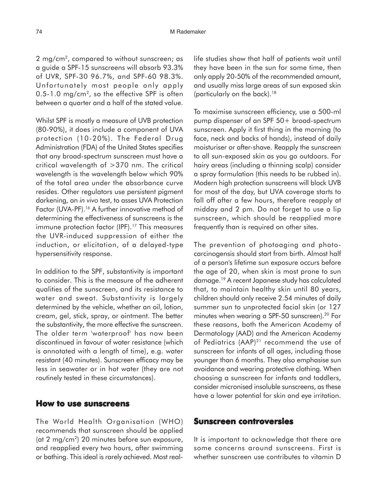#### 74 M Rademaker

2 mg/cm<sup>2</sup>, compared to without sunscreen; as a guide a SPF-15 sunscreens will absorb 93.3% of UVR, SPF-30 96.7%, and SPF-60 98.3%. Unfortunately most people only apply  $0.5-1.0$  mg/cm<sup>2</sup>, so the effective SPF is often between a quarter and a half of the stated value.

Whilst SPF is mostly a measure of UVB protection (80-90%), it does include a component of UVA protection (10-20%). The Federal Drug Administration (FDA) of the United States specifies that any broad-spectrum sunscreen must have a critical wavelength of >370 nm. The critical wavelength is the wavelength below which 90% of the total area under the absorbance curve resides. Other regulators use persistent pigment darkening, an *in vivo* test, to asses UVA Protection Factor (UVA-PF).<sup>16</sup> A further innovative method of determining the effectiveness of sunscreens is the immune protection factor (IPF).<sup>17</sup> This measures the UVR-induced suppression of either the induction, or elicitation, of a delayed-type hypersensitivity response.

In addition to the SPF, substantivity is important to consider. This is the measure of the adherent qualities of the sunscreen, and its resistance to water and sweat. Substantivity is largely determined by the vehicle, whether an oil, lotion, cream, gel, stick, spray, or ointment. The better the substantivity, the more effective the sunscreen. The older term 'waterproof' has now been discontinued in favour of water resistance (which is annotated with a length of time), e.g. water resistant (40 minutes). Sunscreen efficacy may be less in seawater or in hot water (they are not routinely tested in these circumstances).

#### **How to use sunscreens**

The World Health Organisation (WHO) recommends that sunscreen should be applied (at 2 mg/cm2) 20 minutes before sun exposure, and reapplied every two hours, after swimming or bathing. This ideal is rarely achieved. Most reallife studies show that half of patients wait until they have been in the sun for some time, then only apply 20-50% of the recommended amount, and usually miss large areas of sun exposed skin (particularly on the back).18

To maximise sunscreen efficiency, use a 500-ml pump dispenser of an SPF 50+ broad-spectrum sunscreen. Apply it first thing in the morning (to face, neck and backs of hands), instead of daily moisturiser or after-shave. Reapply the sunscreen to all sun-exposed skin as you go outdoors. For hairy areas (including a thinning scalp) consider a spray formulation (this needs to be rubbed in). Modern high protection sunscreens will block UVB for most of the day, but UVA coverage starts to fall off after a few hours, therefore reapply at midday and 2 pm. Do not forget to use a lip sunscreen, which should be reapplied more frequently than is required on other sites.

The prevention of photoaging and photocarcinogensis should start from birth. Almost half of a person's lifetime sun exposure occurs before the age of 20, when skin is most prone to sun damage.19 A recent Japanese study has calculated that, to maintain healthy skin until 80 years, children should only receive 2.54 minutes of daily summer sun to unprotected facial skin (or 127 minutes when wearing a SPF-50 sunscreen).<sup>20</sup> For these reasons, both the American Academy of Dermatology (AAD) and the American Academy of Pediatrics (AAP)<sup>21</sup> recommend the use of sunscreen for infants of all ages, including those younger than 6 months. They also emphasise sun avoidance and wearing protective clothing. When choosing a sunscreen for infants and toddlers, consider micronised insoluble sunscreens, as these have a lower potential for skin and eye irritation.

### **Sunscreen controversies**

It is important to acknowledge that there are some concerns around sunscreens. First is whether sunscreen use contributes to vitamin D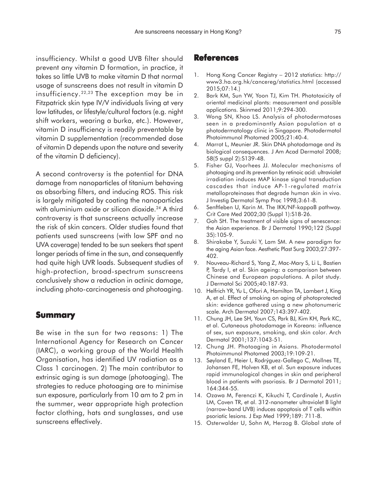insufficiency. Whilst a good UVB filter should prevent any vitamin D formation, in practice, it takes so little UVB to make vitamin D that normal usage of sunscreens does not result in vitamin D insufficiency.22,23 The exception may be in Fitzpatrick skin type IV/V individuals living at very low latitudes, or lifestyle/cultural factors (e.g. night shift workers, wearing a burka, etc.). However, vitamin D insufficiency is readily preventable by vitamin D supplementation (recommended dose of vitamin D depends upon the nature and severity of the vitamin D deficiency).

A second controversy is the potential for DNA damage from nanoparticles of titanium behaving as absorbing filters, and inducing ROS. This risk is largely mitigated by coating the nanoparticles with aluminium oxide or silicon dioxide.<sup>24</sup> A third controversy is that sunscreens actually increase the risk of skin cancers. Older studies found that patients used sunscreens (with low SPF and no UVA coverage) tended to be sun seekers that spent longer periods of time in the sun, and consequently had quite high UVR loads. Subsequent studies of high-protection, broad-spectrum sunscreens conclusively show a reduction in actinic damage, including photo-carcinogenesis and photoaging.

### **Summary**

Be wise in the sun for two reasons: 1) The International Agency for Research on Cancer (IARC), a working group of the World Health Organisation, has identified UV radiation as a Class 1 carcinogen. 2) The main contributor to extrinsic aging is sun damage (photoaging). The strategies to reduce photoaging are to minimise sun exposure, particularly from 10 am to 2 pm in the summer, wear appropriate high protection factor clothing, hats and sunglasses, and use sunscreens effectively.

### **References**

- 1. Hong Kong Cancer Registry − 2012 statistics: http:// www3.ha.org.hk/cancereg/statistics.html (accessed 2015;07:14.)
- 2. Bark KM, Sun YW, Yoon TJ, Kim TH. Phototoxicity of oriental medicinal plants: measurement and possible applications. Skinmed 2011;9:294-300.
- 3. Wong SN, Khoo LS. Analysis of photodermatoses seen in a predominantly Asian population at a photodermatology clinic in Singapore. Photodermatol Photoimmunol Photomed 2005;21:40-4.
- 4. Marrot L, Meunier JR. Skin DNA photodamage and its biological consequences. J Am Acad Dermatol 2008; 58(5 suppl 2):S139-48.
- 5. Fisher GJ, Voorhees JJ. Molecular mechanisms of photoaging and its prevention by retinoic acid: ultraviolet irradiation induces MAP kinase signal transduction cascades that induce AP-1-regulated matrix metalloproteinases that degrade human skin in vivo. J Investig Dermatol Symp Proc 1998;3:61-8.
- 6. Senftleben U, Karin M. The IKK/NF-kappaB pathway. Crit Care Med 2002;30 (Suppl 1):S18-26.
- 7. Goh SH. The treatment of visible signs of senescence: the Asian experience. Br J Dermatol 1990;122 (Suppl 35):105-9.
- 8. Shirakabe Y, Suzuki Y, Lam SM. A new paradigm for the aging Asian face. Aesthetic Plast Surg 2003;27:397- 402.
- 9. Nouveau-Richard S, Yang Z, Mac-Mary S, Li L, Bastien P, Tardy I, et al. Skin ageing: a comparison between Chinese and European populations. A pilot study. J Dermatol Sci 2005;40:187-93.
- 10. Helfrich YR, Yu L, Ofori A, Hamilton TA, Lambert J, King A, et al. Effect of smoking on aging of photoprotected skin: evidence gathered using a new photonumeric scale. Arch Dermatol 2007;143:397-402.
- 11. Chung JH, Lee SH, Youn CS, Park BJ, Kim KH, Park KC, et al. Cutaneous photodamage in Koreans: influence of sex, sun exposure, smoking, and skin color. Arch Dermatol 2001;137:1043-51.
- 12. Chung JH. Photoaging in Asians. Photodermatol Photoimmunol Photomed 2003;19:109-21.
- 13. Søyland E, Heier I, Rodrýguez-Gallego C, Mollnes TE, Johansen FE, Holven KB, et al. Sun exposure induces rapid immunological changes in skin and peripheral blood in patients with psoriasis. Br J Dermatol 2011; 164:344-55.
- 14. Ozawa M, Ferenczi K, Kikuchi T, Cardinale I, Austin LM, Coven TR, et al. 312-nanometer ultraviolet B light (narrow-band UVB) induces apoptosis of T cells within psoriatic lesions. J Exp Med 1999;189: 711-8.
- 15. Osterwalder U, Sohn M, Herzog B. Global state of